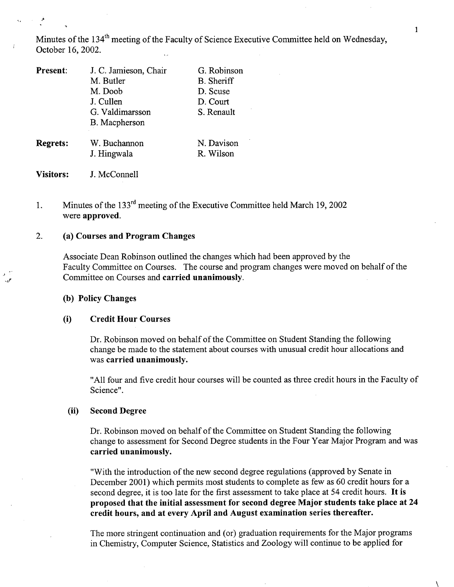Minutes of the 134<sup>th</sup> meeting of the Faculty of Science Executive Committee held on Wednesday, October 16, 2002.

| <b>Present:</b> | J. C. Jamieson, Chair | G. Robinson       |
|-----------------|-----------------------|-------------------|
|                 | M. Butler             | <b>B.</b> Sheriff |
|                 | M. Doob               | D. Scuse          |
|                 | J. Cullen             | D. Court          |
|                 | G. Valdimarsson       | S. Renault        |
|                 | B. Macpherson         |                   |
| <b>Regrets:</b> | W. Buchannon          | N. Davison        |
|                 | J. Hingwala           | R. Wilson         |
|                 |                       |                   |

**Visitors:** J. McConnell

### Minutes of the 133<sup>rd</sup> meeting of the Executive Committee held March 19, 2002 1. were **approved.**

#### **(a) Courses and Program Changes**   $2.$

Associate Dean Robinson outlined the changes which had been approved by the Faculty Committee on Courses. The course and program changes were moved on behalf of the Committee on Courses and **carried unanimously.** 

## **(b) Policy Changes**

## **(i) Credit Hour Courses**

Dr. Robinson moved on behalf of the Committee on Student Standing the following change be made to the statement about courses with unusual credit hour allocations and was **carried unanimously.** 

"All four and five credit hour courses will be counted as three credit hours in the Faculty of Science".

### **(ii) Second Degree**

Dr. Robinson moved on behalf of the Committee on Student Standing the following change to assessment for Second Degree students in the Four Year Major Program and was **carried unanimously.** 

"With the introduction of the new second degree regulations (approved by Senate in December 2001) which permits most students to complete as few as 60 credit hours for a second degree, it is too late for the first assessment to take place at *54* credit hours. **It is proposed that the initial assessment for second degree Major students take place at 24 credit hours, and at every April and August examination series thereafter.** 

The more stringent continuation and (or) graduation requirements for the Major programs in Chemistry, Computer Science, Statistics and Zoology will continue to be applied for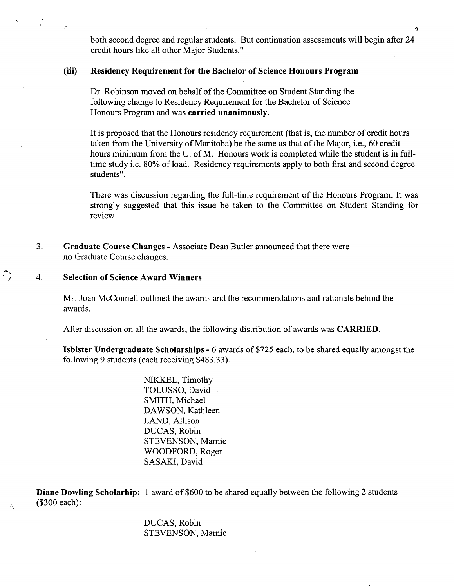both second degree and regular students. But continuation assessments will begin after 24 credit hours like all other Major Students."

## **(iii) Residency Requirement for the Bachelor of Science Honours Program**

Dr. Robinson moved on behalf of the Committee on Student Standing the following change to Residency Requirement for the Bachelor of Science Honours Program and was **carried unanimously.** 

It is proposed that the Honours residency requirement (that is, the number of credit hours taken from the University of Manitoba) be the same as that of the Major, i.e., 60 credit hours minimum from the U. of M. Honours work is completed while the student is in fulltime study i.e. 80% of load. Residency requirements apply to both first and second degree students".

There was discussion regarding the full-time requirement of the Honours Program. It was strongly suggested that this issue be taken to the Committee on Student Standing for review.

 $3<sub>1</sub>$ **Graduate Course Changes** - Associate Dean Butler announced that there were no Graduate Course changes.

#### $\overline{4}$ . **Selection of Science Award Winners**

 $\mathcal{L}_1$ 

Ms. Joan McConnell outlined the awards and the recommendations and rationale behind the awards.

After discussion on all the awards, the following distribution of awards was **CARRIED.** 

**Isbister Undergraduate Scholarships -** 6 awards of *\$725* each, to be shared equally amongst the following 9 students (each receiving \$483.33).

> NIKKEL, Timothy TOLUSSO, David SMITH, Michael DAWSON, Kathleen LAND, Allison DUCAS, Robin STEVENSON, Marnie WOODFORD, Roger SASAKI, David

**Diane Dowling Scholarhip:** 1 award of \$600 to be shared equally between the following 2 students (\$300 each):

> DUCAS, Robin STEVENSON, Marnie

 $\overline{2}$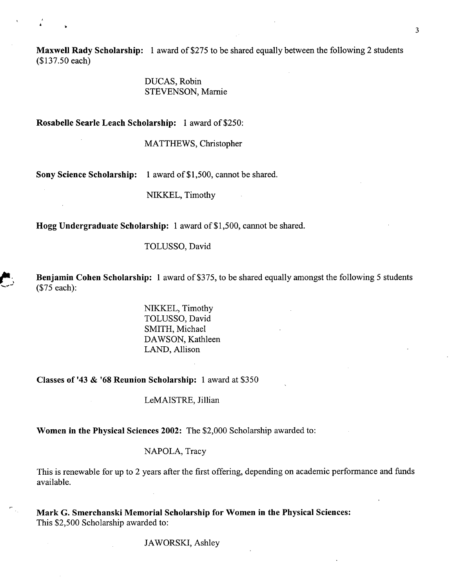**Maxwell Rady Scholarship:** 1 award of \$275 to be shared equally between the following 2 students (\$137.50 each)

> DUCAS, Robin STEVENSON, Marnie

**Rosabelle Searle Leach Scholarship:** 1 award of \$250:

MATTHEWS, Christopher

**Sony Science Scholarship:** 1 award of \$1,500, cannot be shared.

NIXKEL, Timothy

**Hogg Undergraduate Scholarship:** 1 award of \$1,500, cannot be shared.

TOLUSSO, David

**Benjamin Cohen Scholarship:** 1 award of \$375, to be shared equally amongst the following *5* students (\$75 each):

> NIKKEL, Timothy TOLUSSO, David SMITH, Michael DAWSON, Kathleen LAND, Allison

**Classes of** '43 & **'68 Reunion Scholarship:** 1 award at \$350

LeMAISTRE, Jillian

**Women in the Physical Sciences 2002:** The \$2,000 Scholarship awarded to:

NAPOLA, Tracy

This is renewable for up to 2 years after the first offering, depending on academic performance and funds available.

**Mark G. Smerchanski Memorial Scholarship for Women in the Physical Sciences:**  This \$2,500 Scholarship awarded to:

JAWORSKJ, Ashley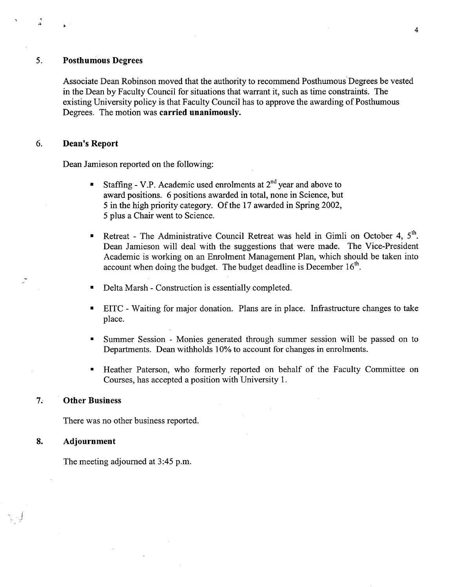#### 5. **Posthumous Degrees**

្ន

Associate Dean Robinson moved that the authority to recommend Posthumous Degrees be vested in the Dean by Faculty Council for situations that warrant it, such as time constraints. The existing University policy is that Faculty Council has to approve the awarding of Posthumous Degrees. The motion was **carried unanimously.** 

#### 6. **Dean's Report**

Dean Jamieson reported on the following:

- Staffing V.P. Academic used enrolments at  $2<sup>nd</sup>$  year and above to award positions. 6 positions awarded in total, none in Science, but 5 in the high priority category. Of the 17 awarded in Spring 2002, 5 plus a Chair went to Science.
- Retreat The Administrative Council Retreat was held in Gimli on October 4, 5<sup>th</sup>. Dean Jamieson will deal with the suggestions that were made. The Vice-President Academic is working on an Enrolment Management Plan, which should be taken into account when doing the budget. The budget deadline is December  $16<sup>th</sup>$ .
- Delta Marsh Construction is essentially completed.  $\blacksquare$
- EITC Waiting for major donation. Plans are in place. Infrastructure changes to take place.
- Summer Session Monies generated through summer session will be passed on to Departments. Dean withholds 10% to account for changes in enrolments.
- Heather Paterson, who formerly reported on behalf of the Faculty Committee on Courses, has accepted a position with University 1.

#### $7.$ **Other Business**

There was no other business reported.

#### 8. **Adjournment**

The meeting adjourned at 3:45 p.m.